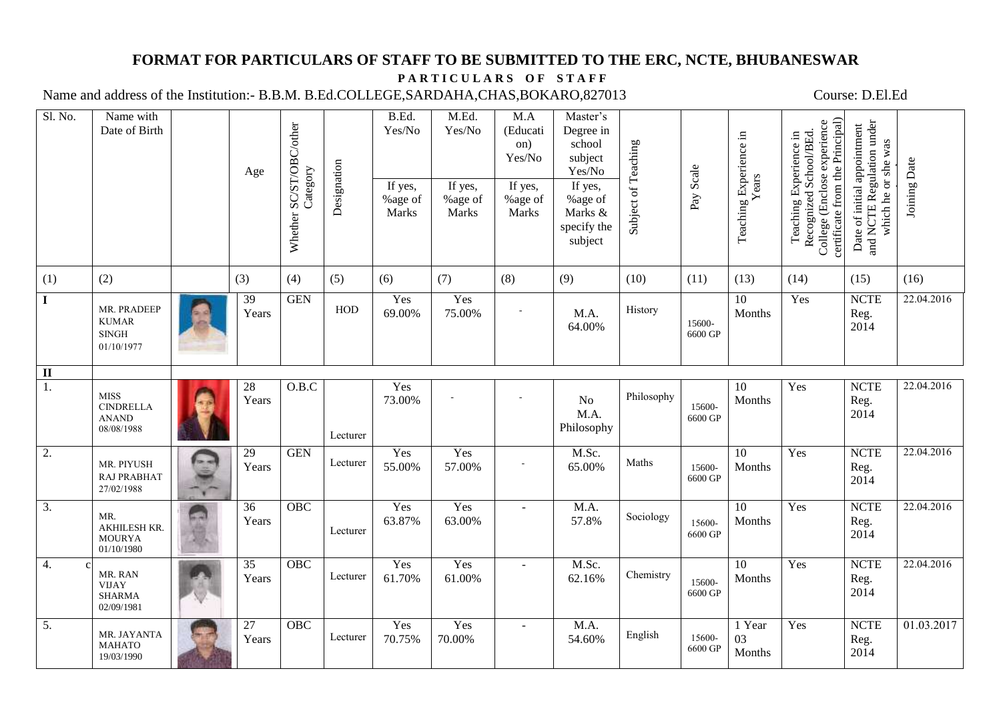## **FORMAT FOR PARTICULARS OF STAFF TO BE SUBMITTED TO THE ERC, NCTE, BHUBANESWAR**

## PARTICULARS OF STAFF

Name and address of the Institution:- B.B.M. B.Ed.COLLEGE,SARDAHA,CHAS,BOKARO,827013 Course: D.El.Ed

| Sl. No.                 | Name with<br>Date of Birth                                    | Age                      | SC/ST/OBC/other<br>Category<br>Whether | Designation | B.Ed.<br>Yes/No<br>If yes, | M.Ed.<br>Yes/No<br>If yes, | M.A<br>(Educati<br>on)<br>Yes/No<br>If yes, | Master's<br>Degree in<br>school<br>subject<br>Yes/No<br>If yes, | Subject of Teaching<br>Pay Scale |                   | Teaching Experience in<br>Years | certificate from the Principal)<br>College (Enclose experience<br>Recognized School/BEd.<br>Teaching Experience in | Date of initial appointment<br>and NCTE Regulation under<br>which he or she was |              |
|-------------------------|---------------------------------------------------------------|--------------------------|----------------------------------------|-------------|----------------------------|----------------------------|---------------------------------------------|-----------------------------------------------------------------|----------------------------------|-------------------|---------------------------------|--------------------------------------------------------------------------------------------------------------------|---------------------------------------------------------------------------------|--------------|
|                         |                                                               |                          |                                        |             | %age of<br>Marks           | %age of<br>Marks           | %age of<br>Marks                            | %age of<br>Marks &<br>specify the<br>subject                    |                                  |                   |                                 |                                                                                                                    |                                                                                 | Joining Date |
| (1)                     | (2)                                                           | (3)                      | (4)                                    | (5)         | (6)                        | (7)                        | (8)                                         | (9)                                                             | (10)                             | (11)              | (13)                            | (14)                                                                                                               | (15)                                                                            | (16)         |
| $\mathbf{I}$            | MR. PRADEEP<br><b>KUMAR</b><br><b>SINGH</b><br>01/10/1977     | 39<br>Years              | <b>GEN</b>                             | HOD         | Yes<br>69.00%              | Yes<br>75.00%              |                                             | M.A.<br>64.00%                                                  | History                          | 15600-<br>6600 GP | 10<br>Months                    | Yes                                                                                                                | <b>NCTE</b><br>Reg.<br>2014                                                     | 22.04.2016   |
| $\overline{\mathbf{u}}$ |                                                               |                          |                                        |             |                            |                            |                                             |                                                                 |                                  |                   |                                 |                                                                                                                    |                                                                                 |              |
| 1.                      | <b>MISS</b><br><b>CINDRELLA</b><br><b>ANAND</b><br>08/08/1988 | $28\,$<br>Years          | O.B.C                                  | Lecturer    | Yes<br>73.00%              |                            |                                             | No<br>M.A.<br>Philosophy                                        | Philosophy                       | 15600-<br>6600 GP | 10<br>Months                    | Yes                                                                                                                | $\ensuremath{\text{NCTE}}$<br>Reg.<br>2014                                      | 22.04.2016   |
| 2.                      | MR. PIYUSH<br><b>RAJ PRABHAT</b><br>27/02/1988                | $\overline{29}$<br>Years | <b>GEN</b>                             | Lecturer    | Yes<br>55.00%              | Yes<br>57.00%              |                                             | M.Sc.<br>65.00%                                                 | Maths                            | 15600-<br>6600 GP | 10<br>Months                    | Yes                                                                                                                | <b>NCTE</b><br>Reg.<br>2014                                                     | 22.04.2016   |
| $\overline{3}$ .        | MR.<br>AKHILESH KR.<br><b>MOURYA</b><br>01/10/1980            | 36<br>Years              | OBC                                    | Lecturer    | Yes<br>63.87%              | Yes<br>63.00%              |                                             | M.A.<br>57.8%                                                   | Sociology                        | 15600-<br>6600 GP | $\overline{10}$<br>Months       | Yes                                                                                                                | <b>NCTE</b><br>Reg.<br>2014                                                     | 22.04.2016   |
| 4.                      | MR. RAN<br><b>VIJAY</b><br><b>SHARMA</b><br>02/09/1981        | $\overline{35}$<br>Years | OBC                                    | Lecturer    | Yes<br>61.70%              | Yes<br>61.00%              | $\sim$                                      | M.Sc.<br>62.16%                                                 | Chemistry                        | 15600-<br>6600 GP | 10<br>Months                    | Yes                                                                                                                | <b>NCTE</b><br>Reg.<br>2014                                                     | 22.04.2016   |
| 5.                      | MR. JAYANTA<br><b>MAHATO</b><br>19/03/1990                    | 27<br>Years              | OBC                                    | Lecturer    | Yes<br>70.75%              | Yes<br>70.00%              |                                             | M.A.<br>54.60%                                                  | English                          | 15600-<br>6600 GP | 1 Year<br>03<br>Months          | Yes                                                                                                                | <b>NCTE</b><br>Reg.<br>2014                                                     | 01.03.2017   |